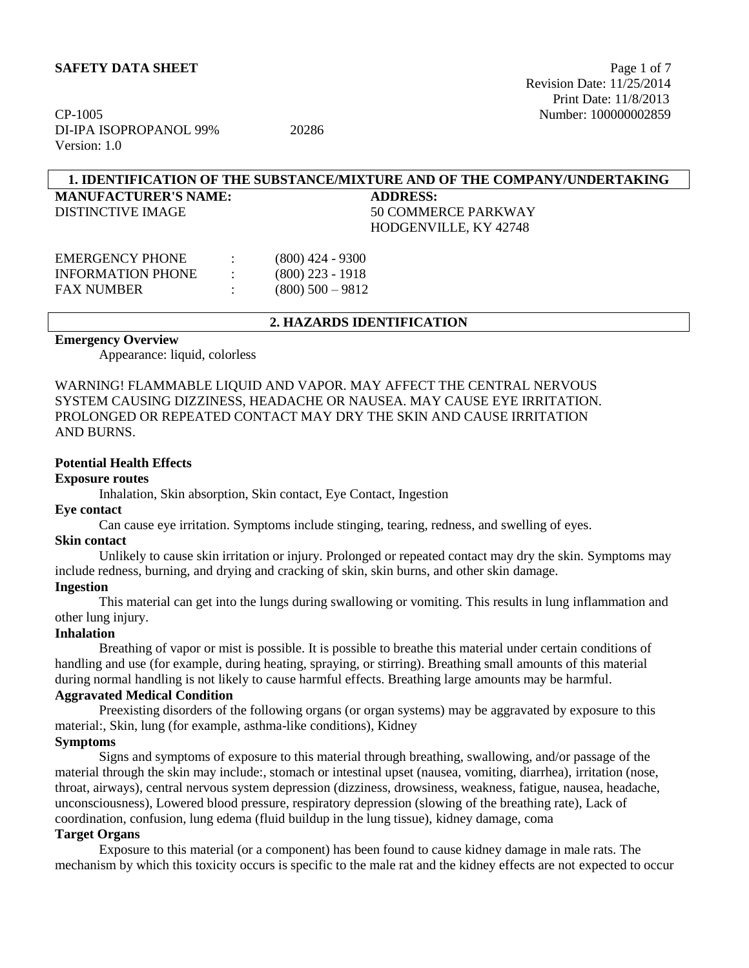CP-1005 Number: 100000002859 DI-IPA ISOPROPANOL 99% 20286 Version: 1.0

## **1. IDENTIFICATION OF THE SUBSTANCE/MIXTURE AND OF THE COMPANY/UNDERTAKING**

**MANUFACTURER'S NAME: ADDRESS:**

DISTINCTIVE IMAGE 50 COMMERCE PARKWAY HODGENVILLE, KY 42748

| EMERGENCY PHONE   | $(800)$ 424 - 9300  |
|-------------------|---------------------|
| INFORMATION PHONE | $(800)$ 223 - 1918  |
| FAX NUMBER        | $(800)$ 500 $-9812$ |

### **2. HAZARDS IDENTIFICATION**

#### **Emergency Overview**

Appearance: liquid, colorless

WARNING! FLAMMABLE LIQUID AND VAPOR. MAY AFFECT THE CENTRAL NERVOUS SYSTEM CAUSING DIZZINESS, HEADACHE OR NAUSEA. MAY CAUSE EYE IRRITATION. PROLONGED OR REPEATED CONTACT MAY DRY THE SKIN AND CAUSE IRRITATION AND BURNS.

## **Potential Health Effects**

#### **Exposure routes**

Inhalation, Skin absorption, Skin contact, Eye Contact, Ingestion

#### **Eye contact**

Can cause eye irritation. Symptoms include stinging, tearing, redness, and swelling of eyes.

#### **Skin contact**

Unlikely to cause skin irritation or injury. Prolonged or repeated contact may dry the skin. Symptoms may include redness, burning, and drying and cracking of skin, skin burns, and other skin damage.

#### **Ingestion**

This material can get into the lungs during swallowing or vomiting. This results in lung inflammation and other lung injury.

#### **Inhalation**

Breathing of vapor or mist is possible. It is possible to breathe this material under certain conditions of handling and use (for example, during heating, spraying, or stirring). Breathing small amounts of this material during normal handling is not likely to cause harmful effects. Breathing large amounts may be harmful.

## **Aggravated Medical Condition**

Preexisting disorders of the following organs (or organ systems) may be aggravated by exposure to this material:, Skin, lung (for example, asthma-like conditions), Kidney

## **Symptoms**

Signs and symptoms of exposure to this material through breathing, swallowing, and/or passage of the material through the skin may include:, stomach or intestinal upset (nausea, vomiting, diarrhea), irritation (nose, throat, airways), central nervous system depression (dizziness, drowsiness, weakness, fatigue, nausea, headache, unconsciousness), Lowered blood pressure, respiratory depression (slowing of the breathing rate), Lack of coordination, confusion, lung edema (fluid buildup in the lung tissue), kidney damage, coma

## **Target Organs**

Exposure to this material (or a component) has been found to cause kidney damage in male rats. The mechanism by which this toxicity occurs is specific to the male rat and the kidney effects are not expected to occur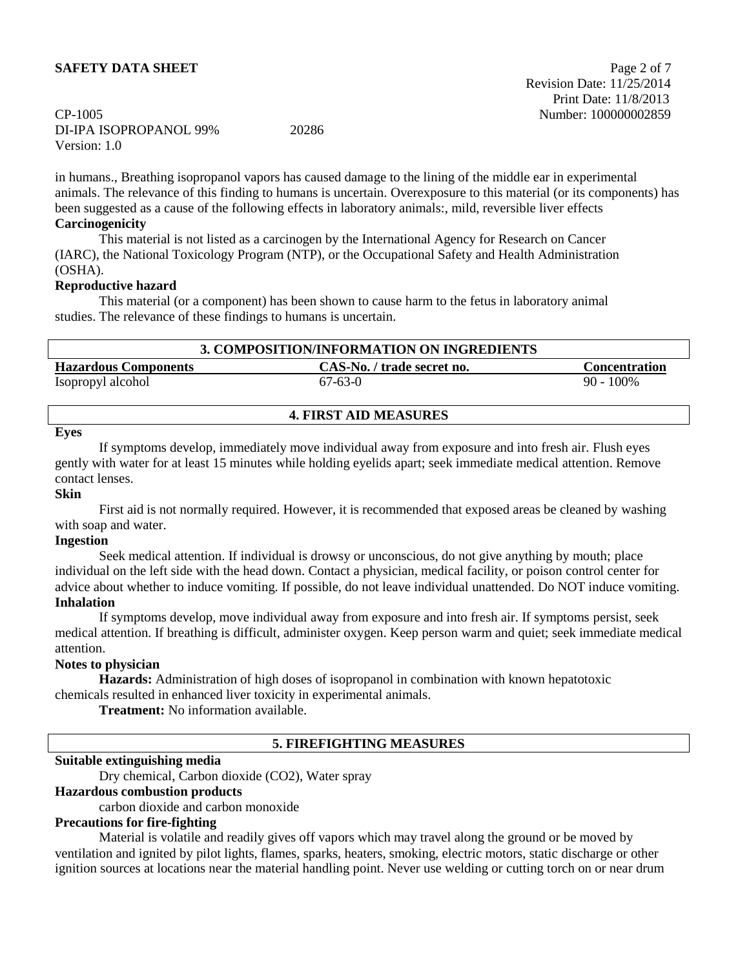## CP-1005 Number: 100000002859 DI-IPA ISOPROPANOL 99% 20286 Version: 1.0

in humans., Breathing isopropanol vapors has caused damage to the lining of the middle ear in experimental animals. The relevance of this finding to humans is uncertain. Overexposure to this material (or its components) has been suggested as a cause of the following effects in laboratory animals:, mild, reversible liver effects **Carcinogenicity**

This material is not listed as a carcinogen by the International Agency for Research on Cancer (IARC), the National Toxicology Program (NTP), or the Occupational Safety and Health Administration (OSHA).

### **Reproductive hazard**

This material (or a component) has been shown to cause harm to the fetus in laboratory animal studies. The relevance of these findings to humans is uncertain.

| 3. COMPOSITION/INFORMATION ON INGREDIENTS |                            |                      |
|-------------------------------------------|----------------------------|----------------------|
| <b>Hazardous Components</b>               | CAS-No. / trade secret no. | <b>Concentration</b> |
| Isopropyl alcohol                         | $67-63-0$                  | $90 - 100\%$         |

### **4. FIRST AID MEASURES**

#### **Eyes**

If symptoms develop, immediately move individual away from exposure and into fresh air. Flush eyes gently with water for at least 15 minutes while holding eyelids apart; seek immediate medical attention. Remove contact lenses.

#### **Skin**

First aid is not normally required. However, it is recommended that exposed areas be cleaned by washing with soap and water.

#### **Ingestion**

Seek medical attention. If individual is drowsy or unconscious, do not give anything by mouth; place individual on the left side with the head down. Contact a physician, medical facility, or poison control center for advice about whether to induce vomiting. If possible, do not leave individual unattended. Do NOT induce vomiting. **Inhalation**

If symptoms develop, move individual away from exposure and into fresh air. If symptoms persist, seek medical attention. If breathing is difficult, administer oxygen. Keep person warm and quiet; seek immediate medical attention.

## **Notes to physician**

**Hazards:** Administration of high doses of isopropanol in combination with known hepatotoxic chemicals resulted in enhanced liver toxicity in experimental animals.

**Treatment:** No information available.

## **5. FIREFIGHTING MEASURES**

#### **Suitable extinguishing media**

Dry chemical, Carbon dioxide (CO2), Water spray

#### **Hazardous combustion products**

carbon dioxide and carbon monoxide

#### **Precautions for fire-fighting**

Material is volatile and readily gives off vapors which may travel along the ground or be moved by ventilation and ignited by pilot lights, flames, sparks, heaters, smoking, electric motors, static discharge or other ignition sources at locations near the material handling point. Never use welding or cutting torch on or near drum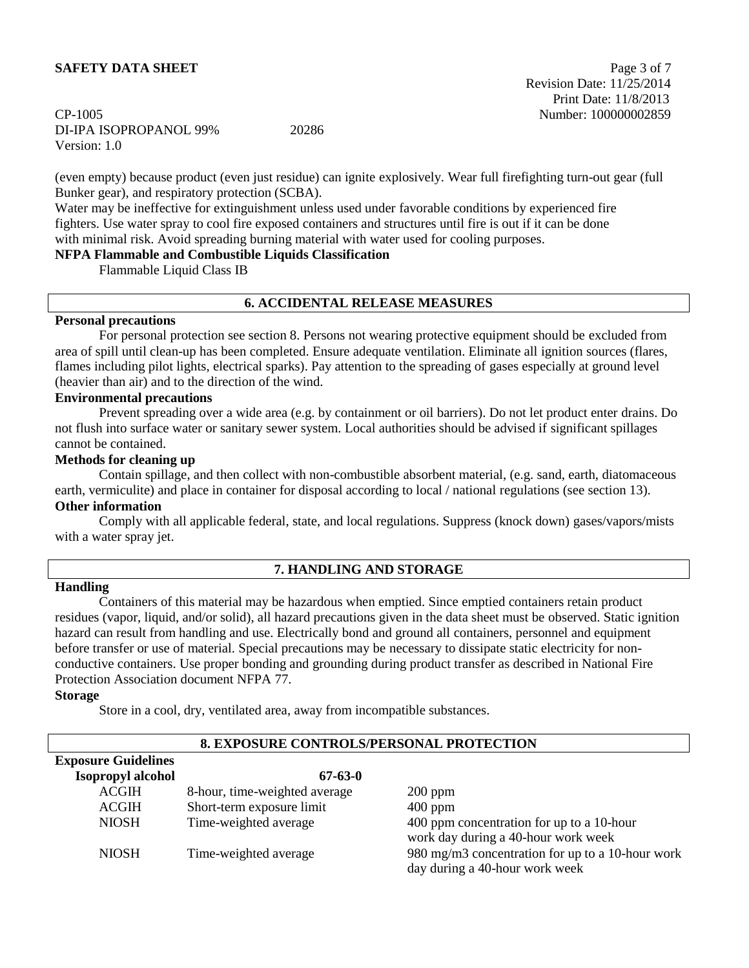## **SAFETY DATA SHEET** Page 3 of 7

## CP-1005 Number: 100000002859 DI-IPA ISOPROPANOL 99% 20286 Version: 1.0

 Revision Date: 11/25/2014 Print Date: 11/8/2013

(even empty) because product (even just residue) can ignite explosively. Wear full firefighting turn-out gear (full Bunker gear), and respiratory protection (SCBA).

Water may be ineffective for extinguishment unless used under favorable conditions by experienced fire fighters. Use water spray to cool fire exposed containers and structures until fire is out if it can be done with minimal risk. Avoid spreading burning material with water used for cooling purposes.

## **NFPA Flammable and Combustible Liquids Classification**

Flammable Liquid Class IB

#### **6. ACCIDENTAL RELEASE MEASURES**

#### **Personal precautions**

For personal protection see section 8. Persons not wearing protective equipment should be excluded from area of spill until clean-up has been completed. Ensure adequate ventilation. Eliminate all ignition sources (flares, flames including pilot lights, electrical sparks). Pay attention to the spreading of gases especially at ground level (heavier than air) and to the direction of the wind.

#### **Environmental precautions**

Prevent spreading over a wide area (e.g. by containment or oil barriers). Do not let product enter drains. Do not flush into surface water or sanitary sewer system. Local authorities should be advised if significant spillages cannot be contained.

#### **Methods for cleaning up**

Contain spillage, and then collect with non-combustible absorbent material, (e.g. sand, earth, diatomaceous earth, vermiculite) and place in container for disposal according to local / national regulations (see section 13).

## **Other information**

Comply with all applicable federal, state, and local regulations. Suppress (knock down) gases/vapors/mists with a water spray jet.

### **7. HANDLING AND STORAGE**

### **Handling**

Containers of this material may be hazardous when emptied. Since emptied containers retain product residues (vapor, liquid, and/or solid), all hazard precautions given in the data sheet must be observed. Static ignition hazard can result from handling and use. Electrically bond and ground all containers, personnel and equipment before transfer or use of material. Special precautions may be necessary to dissipate static electricity for nonconductive containers. Use proper bonding and grounding during product transfer as described in National Fire Protection Association document NFPA 77.

#### **Storage**

Store in a cool, dry, ventilated area, away from incompatible substances.

| <u>0. EAPOSUKE CONTROLS/PERSONAL PROTECTION</u> |                               |                                                  |  |
|-------------------------------------------------|-------------------------------|--------------------------------------------------|--|
| <b>Exposure Guidelines</b>                      |                               |                                                  |  |
| <b>Isopropyl alcohol</b>                        | $67 - 63 - 0$                 |                                                  |  |
| <b>ACGIH</b>                                    | 8-hour, time-weighted average | $200$ ppm                                        |  |
| <b>ACGIH</b>                                    | Short-term exposure limit     | $400$ ppm                                        |  |
| <b>NIOSH</b>                                    | Time-weighted average         | 400 ppm concentration for up to a 10-hour        |  |
|                                                 |                               | work day during a 40-hour work week              |  |
| <b>NIOSH</b>                                    | Time-weighted average         | 980 mg/m3 concentration for up to a 10-hour work |  |
|                                                 |                               | day during a 40-hour work week                   |  |

## **8. EXPOSURE CONTROLS/PERSONAL PROTECTION**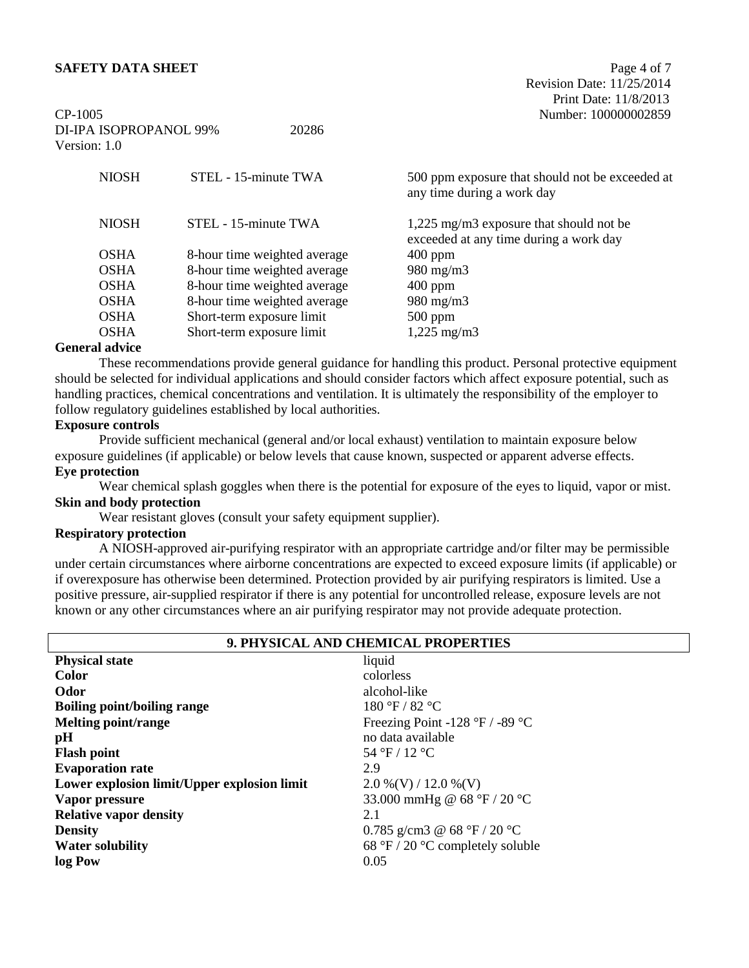## **SAFETY DATA SHEET** Page 4 of 7

 Revision Date: 11/25/2014 Print Date: 11/8/2013

| CP-1005<br>DI-IPA ISOPROPANOL 99%<br>Version: 1.0 | 20286                        | Number: 100000002859                                                              |
|---------------------------------------------------|------------------------------|-----------------------------------------------------------------------------------|
| <b>NIOSH</b>                                      | STEL - 15-minute TWA         | 500 ppm exposure that should not be exceeded at<br>any time during a work day     |
| <b>NIOSH</b>                                      | STEL - 15-minute TWA         | 1,225 mg/m3 exposure that should not be<br>exceeded at any time during a work day |
| <b>OSHA</b>                                       | 8-hour time weighted average | $400$ ppm                                                                         |
| <b>OSHA</b>                                       | 8-hour time weighted average | $980 \text{ mg/m}$                                                                |
| <b>OSHA</b>                                       | 8-hour time weighted average | $400$ ppm                                                                         |
| <b>OSHA</b>                                       | 8-hour time weighted average | $980 \text{ mg/m}$                                                                |
| <b>OSHA</b>                                       | Short-term exposure limit    | $500$ ppm                                                                         |
| <b>OSHA</b>                                       | Short-term exposure limit    | $1,225 \text{ mg/m}$                                                              |

#### **General advice**

These recommendations provide general guidance for handling this product. Personal protective equipment should be selected for individual applications and should consider factors which affect exposure potential, such as handling practices, chemical concentrations and ventilation. It is ultimately the responsibility of the employer to follow regulatory guidelines established by local authorities.

## **Exposure controls**

Provide sufficient mechanical (general and/or local exhaust) ventilation to maintain exposure below exposure guidelines (if applicable) or below levels that cause known, suspected or apparent adverse effects. **Eye protection**

Wear chemical splash goggles when there is the potential for exposure of the eyes to liquid, vapor or mist. **Skin and body protection**

Wear resistant gloves (consult your safety equipment supplier).

## **Respiratory protection**

A NIOSH-approved air-purifying respirator with an appropriate cartridge and/or filter may be permissible under certain circumstances where airborne concentrations are expected to exceed exposure limits (if applicable) or if overexposure has otherwise been determined. Protection provided by air purifying respirators is limited. Use a positive pressure, air-supplied respirator if there is any potential for uncontrolled release, exposure levels are not known or any other circumstances where an air purifying respirator may not provide adequate protection.

| 9. PHYSICAL AND CHEMICAL PROPERTIES         |                                  |  |
|---------------------------------------------|----------------------------------|--|
| <b>Physical state</b>                       | liquid                           |  |
| <b>Color</b>                                | colorless                        |  |
| Odor                                        | alcohol-like                     |  |
| Boiling point/boiling range                 | 180 °F / 82 °C                   |  |
| <b>Melting point/range</b>                  | Freezing Point -128 °F / -89 °C  |  |
| pH                                          | no data available                |  |
| <b>Flash point</b>                          | 54 °F / 12 °C                    |  |
| <b>Evaporation rate</b>                     | 2.9                              |  |
| Lower explosion limit/Upper explosion limit | $2.0\%$ (V) / 12.0 %(V)          |  |
| Vapor pressure                              | 33.000 mmHg @ 68 °F / 20 °C      |  |
| <b>Relative vapor density</b>               | 2.1                              |  |
| <b>Density</b>                              | 0.785 g/cm3 @ 68 °F / 20 °C      |  |
| <b>Water solubility</b>                     | 68 °F / 20 °C completely soluble |  |
| log Pow                                     | 0.05                             |  |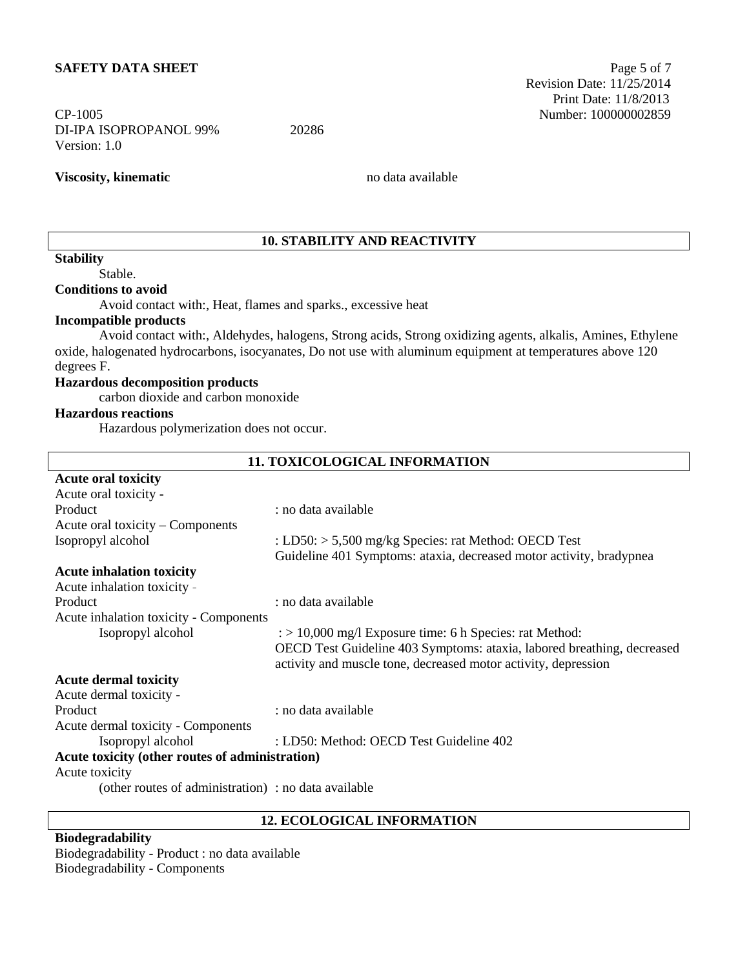## **SAFETY DATA SHEET** Page 5 of 7

# DI-IPA ISOPROPANOL 99% 20286 Version: 1.0

**Viscosity, kinematic** no data available

## **10. STABILITY AND REACTIVITY**

## **Stability**

Stable.

## **Conditions to avoid**

Avoid contact with:, Heat, flames and sparks., excessive heat

#### **Incompatible products**

Avoid contact with:, Aldehydes, halogens, Strong acids, Strong oxidizing agents, alkalis, Amines, Ethylene oxide, halogenated hydrocarbons, isocyanates, Do not use with aluminum equipment at temperatures above 120 degrees F.

### **Hazardous decomposition products**

carbon dioxide and carbon monoxide

## **Hazardous reactions**

Hazardous polymerization does not occur.

| <b>11. TOXICOLOGICAL INFORMATION</b>                 |                                                                                                                                          |  |
|------------------------------------------------------|------------------------------------------------------------------------------------------------------------------------------------------|--|
| <b>Acute oral toxicity</b>                           |                                                                                                                                          |  |
| Acute oral toxicity -                                |                                                                                                                                          |  |
| Product                                              | : no data available                                                                                                                      |  |
| Acute oral toxicity – Components                     |                                                                                                                                          |  |
| Isopropyl alcohol                                    | : LD50: $> 5,500$ mg/kg Species: rat Method: OECD Test                                                                                   |  |
|                                                      | Guideline 401 Symptoms: ataxia, decreased motor activity, bradypnea                                                                      |  |
| <b>Acute inhalation toxicity</b>                     |                                                                                                                                          |  |
| Acute inhalation toxicity -                          |                                                                                                                                          |  |
| Product                                              | : no data available                                                                                                                      |  |
| Acute inhalation toxicity - Components               |                                                                                                                                          |  |
| Isopropyl alcohol                                    | $\gamma$ = 10,000 mg/l Exposure time: 6 h Species: rat Method:                                                                           |  |
|                                                      | OECD Test Guideline 403 Symptoms: ataxia, labored breathing, decreased<br>activity and muscle tone, decreased motor activity, depression |  |
| <b>Acute dermal toxicity</b>                         |                                                                                                                                          |  |
| Acute dermal toxicity -                              |                                                                                                                                          |  |
| Product                                              | : no data available                                                                                                                      |  |
| Acute dermal toxicity - Components                   |                                                                                                                                          |  |
| Isopropyl alcohol                                    | : LD50: Method: OECD Test Guideline 402                                                                                                  |  |
| Acute toxicity (other routes of administration)      |                                                                                                                                          |  |
| Acute toxicity                                       |                                                                                                                                          |  |
| (other routes of administration) : no data available |                                                                                                                                          |  |

#### **12. ECOLOGICAL INFORMATION**

## **Biodegradability**

Biodegradability - Product : no data available Biodegradability - Components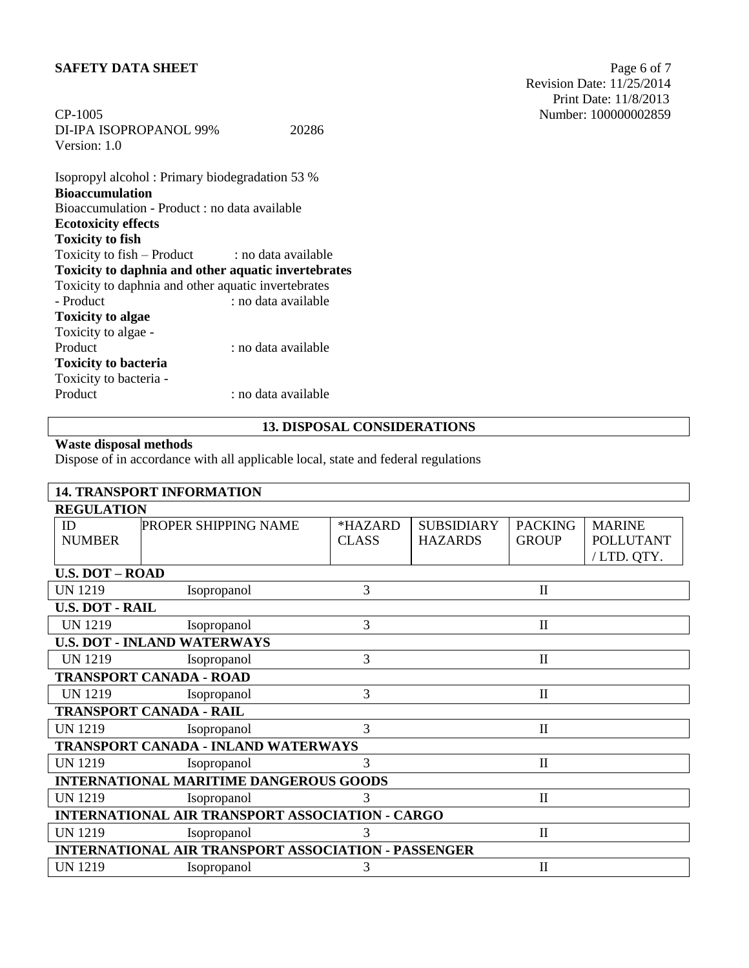## **SAFETY DATA SHEET** Page 6 of 7

| CP-1005                |       | Number: 100000 |
|------------------------|-------|----------------|
| DI-IPA ISOPROPANOL 99% | 20286 |                |
| Version: 1.0           |       |                |

Isopropyl alcohol : Primary biodegradation 53 % **Bioaccumulation** Bioaccumulation - Product : no data available **Ecotoxicity effects Toxicity to fish** Toxicity to fish  $-$  Product : no data available **Toxicity to daphnia and other aquatic invertebrates** Toxicity to daphnia and other aquatic invertebrates - Product : no data available **Toxicity to algae** Toxicity to algae - Product : no data available **Toxicity to bacteria** Toxicity to bacteria - : no data available

## **13. DISPOSAL CONSIDERATIONS**

## **Waste disposal methods**

Dispose of in accordance with all applicable local, state and federal regulations

|                        | <b>14. TRANSPORT INFORMATION</b>                           |              |                   |                |                  |
|------------------------|------------------------------------------------------------|--------------|-------------------|----------------|------------------|
| <b>REGULATION</b>      |                                                            |              |                   |                |                  |
| ID                     | PROPER SHIPPING NAME                                       | *HAZARD      | <b>SUBSIDIARY</b> | <b>PACKING</b> | <b>MARINE</b>    |
| <b>NUMBER</b>          |                                                            | <b>CLASS</b> | <b>HAZARDS</b>    | <b>GROUP</b>   | <b>POLLUTANT</b> |
|                        |                                                            |              |                   |                | /LTD. QTY.       |
| <b>U.S. DOT - ROAD</b> |                                                            |              |                   |                |                  |
| <b>UN 1219</b>         | Isopropanol                                                | 3            |                   | $\mathbf{I}$   |                  |
| <b>U.S. DOT - RAIL</b> |                                                            |              |                   |                |                  |
| <b>UN 1219</b>         | Isopropanol                                                | 3            |                   | $\mathbf{I}$   |                  |
|                        | <b>U.S. DOT - INLAND WATERWAYS</b>                         |              |                   |                |                  |
| <b>UN 1219</b>         | Isopropanol                                                | 3            |                   | $\mathbf{I}$   |                  |
|                        | <b>TRANSPORT CANADA - ROAD</b>                             |              |                   |                |                  |
| <b>UN 1219</b>         | Isopropanol                                                | 3            |                   | $\mathbf{I}$   |                  |
|                        | <b>TRANSPORT CANADA - RAIL</b>                             |              |                   |                |                  |
| <b>UN 1219</b>         | Isopropanol                                                | 3            |                   | $\mathbf{I}$   |                  |
|                        | TRANSPORT CANADA - INLAND WATERWAYS                        |              |                   |                |                  |
| <b>UN 1219</b>         | Isopropanol                                                | 3            |                   | $\mathbf{I}$   |                  |
|                        | <b>INTERNATIONAL MARITIME DANGEROUS GOODS</b>              |              |                   |                |                  |
| <b>UN 1219</b>         | Isopropanol                                                | 3            |                   | $\mathbf{I}$   |                  |
|                        | <b>INTERNATIONAL AIR TRANSPORT ASSOCIATION - CARGO</b>     |              |                   |                |                  |
| <b>UN 1219</b>         | Isopropanol                                                | 3            |                   | $\mathbf{I}$   |                  |
|                        | <b>INTERNATIONAL AIR TRANSPORT ASSOCIATION - PASSENGER</b> |              |                   |                |                  |
| <b>UN 1219</b>         | Isopropanol                                                | 3            |                   | $\mathbf{I}$   |                  |